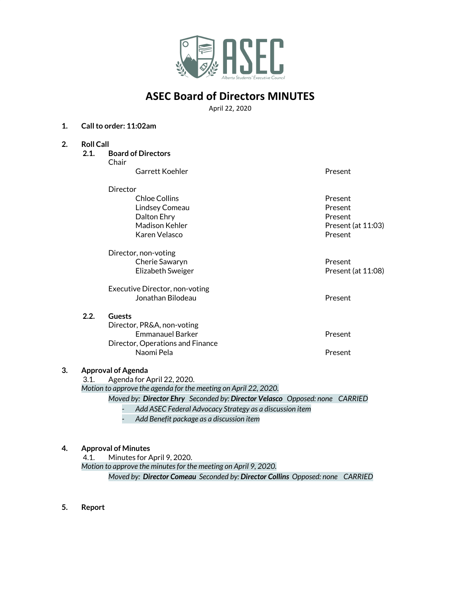

# **ASEC Board of Directors MINUTES**

April 22, 2020

#### **1. Callto order: 11:02am**

- **2. Roll Call**
	- **2.1. Board of Directors** Chair

| Garrett Koehler                  | Present            |
|----------------------------------|--------------------|
| Director                         |                    |
| Chloe Collins                    | Present            |
| Lindsey Comeau                   | Present            |
| Dalton Ehry                      | Present            |
| Madison Kehler                   | Present (at 11:03) |
| Karen Velasco                    | Present            |
| Director, non-voting             |                    |
| Cherie Sawaryn                   | Present            |
| Elizabeth Sweiger                | Present (at 11:08) |
| Executive Director, non-voting   |                    |
| Jonathan Bilodeau                | Present            |
| <b>Guests</b>                    |                    |
| Director, PR&A, non-voting       |                    |
| <b>Emmanauel Barker</b>          | Present            |
| Director, Operations and Finance |                    |
| Naomi Pela                       | Present            |
|                                  |                    |

#### **3. Approval of Agenda**

**2.2. Guests**

3.1. Agenda for April 22, 2020.

*Motion to approve the agenda for the meeting on April 22, 2020.*

*Moved by: Director Ehry Seconded by: Director Velasco Opposed: none CARRIED*

*- Add ASEC Federal Advocacy Strategy as a discussion item*

*- Add Benefit package as a discussion item*

#### **4. Approval of Minutes**

4.1. Minutes for April 9, 2020. *Motion to approve the minutesfor the meeting on April 9, 2020. Moved by: Director Comeau Seconded by: Director Collins Opposed: none CARRIED*

**5. Report**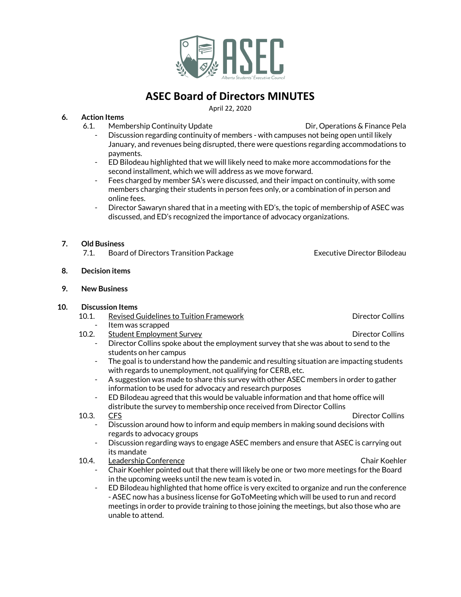

# **ASEC Board of Directors MINUTES**

April 22, 2020

# **6. Action Items**

- 6.1. Membership Continuity Update **Directions Continuity Update** Dir, Operations & Finance Pela
	- Discussion regarding continuity of members with campuses not being open until likely January, and revenues being disrupted, there were questions regarding accommodations to payments.
	- ED Bilodeau highlighted that we will likely need to make more accommodations for the second installment, which we will address as we move forward.
	- Fees charged by member SA's were discussed, and their impact on continuity, with some members charging their students in person fees only, or a combination of in person and online fees.
	- Director Sawaryn shared that in a meeting with ED's, the topic of membership of ASEC was discussed, and ED's recognized the importance of advocacy organizations.

# **7. Old Business**

7.1. Board of Directors Transition Package **Executive Director Bilodeau** 

### **8. Decision items**

#### **9. New Business**

#### **10. Discussion Items**

- 10.1. Revised Guidelines to Tuition Framework **Director Colling** Director Collins
	- Item was scrapped
- 10.2. Student Employment Survey **Director Colling** Director Collins Director Collins spoke about the employment survey that she was about to send to the students on her campus
	- The goal is to understand how the pandemic and resulting situation are impacting students with regards to unemployment, not qualifying for CERB, etc.
	- A suggestion was made to share this survey with other ASEC members in order to gather information to be used for advocacy and research purposes
	- ED Bilodeau agreed that this would be valuable information and that home office will distribute the survey to membership once received from Director Collins
- 10.3. CFS Director Collins
	- Discussion around how to inform and equip members in making sound decisions with regards to advocacy groups
	- Discussion regarding ways to engage ASEC members and ensure that ASEC is carrying out its mandate

# 10.4. Leadership Conference **Chair Koehler** Chair Koehler

- Chair Koehler pointed out that there will likely be one or two more meetings for the Board in the upcoming weeks until the new team is voted in.
- ED Bilodeau highlighted that home office is very excited to organize and run the conference - ASEC now has a business license for GoToMeeting which will be used to run and record meetings in order to provide training to those joining the meetings, but also those who are unable to attend.